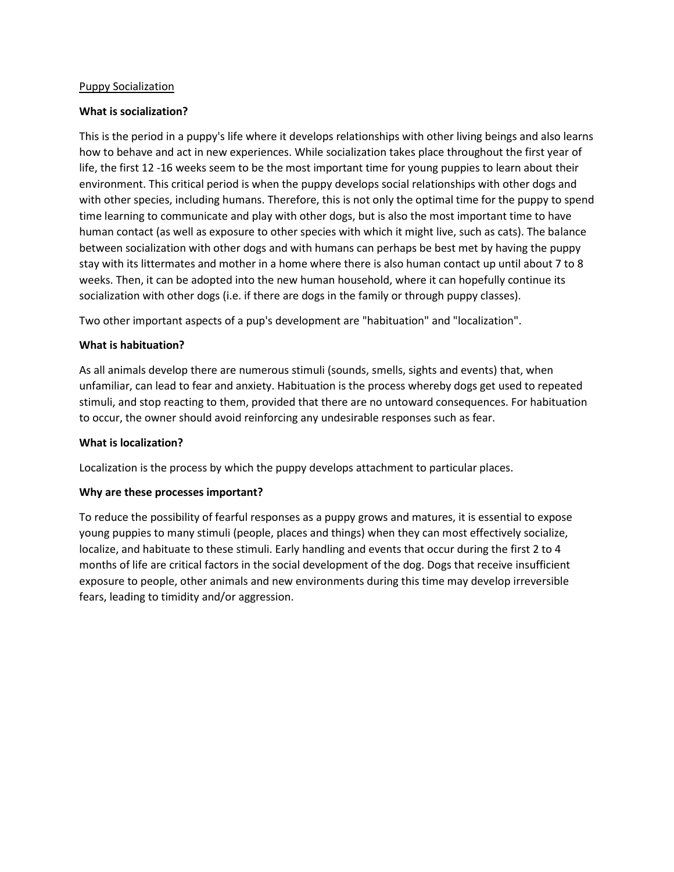#### Puppy Socialization

### **What is socialization?**

This is the period in a puppy's life where it develops relationships with other living beings and also learns how to behave and act in new experiences. While socialization takes place throughout the first year of life, the first 12 -16 weeks seem to be the most important time for young puppies to learn about their environment. This critical period is when the puppy develops social relationships with other dogs and with other species, including humans. Therefore, this is not only the optimal time for the puppy to spend time learning to communicate and play with other dogs, but is also the most important time to have human contact (as well as exposure to other species with which it might live, such as cats). The balance between socialization with other dogs and with humans can perhaps be best met by having the puppy stay with its littermates and mother in a home where there is also human contact up until about 7 to 8 weeks. Then, it can be adopted into the new human household, where it can hopefully continue its socialization with other dogs (i.e. if there are dogs in the family or through puppy classes).

Two other important aspects of a pup's development are "habituation" and "localization".

### **What is habituation?**

As all animals develop there are numerous stimuli (sounds, smells, sights and events) that, when unfamiliar, can lead to fear and anxiety. Habituation is the process whereby dogs get used to repeated stimuli, and stop reacting to them, provided that there are no untoward consequences. For habituation to occur, the owner should avoid reinforcing any undesirable responses such as fear.

### **What is localization?**

Localization is the process by which the puppy develops attachment to particular places.

### **Why are these processes important?**

To reduce the possibility of fearful responses as a puppy grows and matures, it is essential to expose young puppies to many stimuli (people, places and things) when they can most effectively socialize, localize, and habituate to these stimuli. Early handling and events that occur during the first 2 to 4 months of life are critical factors in the social development of the dog. Dogs that receive insufficient exposure to people, other animals and new environments during this time may develop irreversible fears, leading to timidity and/or aggression.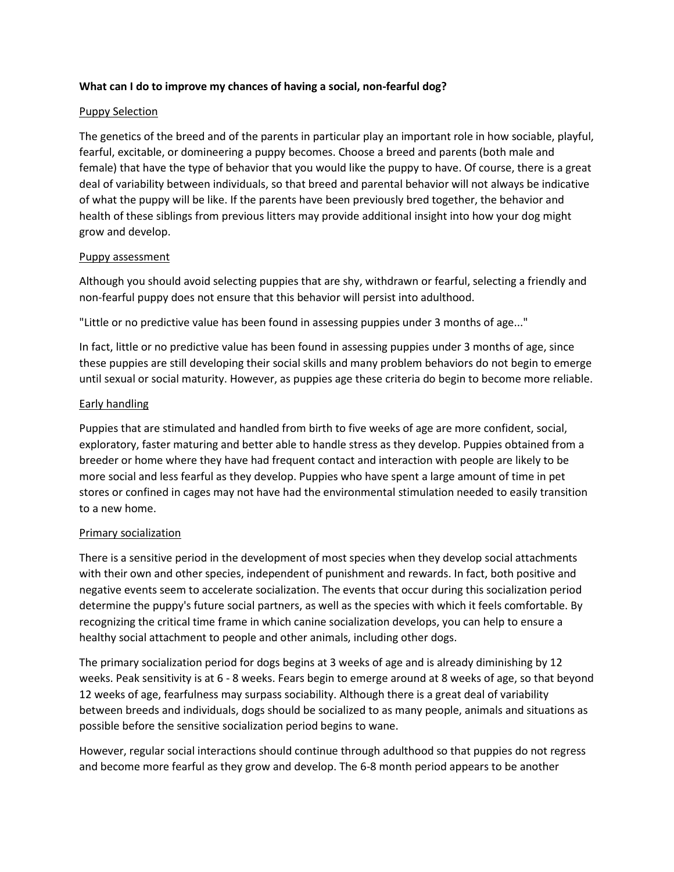### **What can I do to improve my chances of having a social, non-fearful dog?**

### Puppy Selection

The genetics of the breed and of the parents in particular play an important role in how sociable, playful, fearful, excitable, or domineering a puppy becomes. Choose a breed and parents (both male and female) that have the type of behavior that you would like the puppy to have. Of course, there is a great deal of variability between individuals, so that breed and parental behavior will not always be indicative of what the puppy will be like. If the parents have been previously bred together, the behavior and health of these siblings from previous litters may provide additional insight into how your dog might grow and develop.

# Puppy assessment

Although you should avoid selecting puppies that are shy, withdrawn or fearful, selecting a friendly and non-fearful puppy does not ensure that this behavior will persist into adulthood.

"Little or no predictive value has been found in assessing puppies under 3 months of age..."

In fact, little or no predictive value has been found in assessing puppies under 3 months of age, since these puppies are still developing their social skills and many problem behaviors do not begin to emerge until sexual or social maturity. However, as puppies age these criteria do begin to become more reliable.

# Early handling

Puppies that are stimulated and handled from birth to five weeks of age are more confident, social, exploratory, faster maturing and better able to handle stress as they develop. Puppies obtained from a breeder or home where they have had frequent contact and interaction with people are likely to be more social and less fearful as they develop. Puppies who have spent a large amount of time in pet stores or confined in cages may not have had the environmental stimulation needed to easily transition to a new home.

# Primary socialization

There is a sensitive period in the development of most species when they develop social attachments with their own and other species, independent of punishment and rewards. In fact, both positive and negative events seem to accelerate socialization. The events that occur during this socialization period determine the puppy's future social partners, as well as the species with which it feels comfortable. By recognizing the critical time frame in which canine socialization develops, you can help to ensure a healthy social attachment to people and other animals, including other dogs.

The primary socialization period for dogs begins at 3 weeks of age and is already diminishing by 12 weeks. Peak sensitivity is at 6 - 8 weeks. Fears begin to emerge around at 8 weeks of age, so that beyond 12 weeks of age, fearfulness may surpass sociability. Although there is a great deal of variability between breeds and individuals, dogs should be socialized to as many people, animals and situations as possible before the sensitive socialization period begins to wane.

However, regular social interactions should continue through adulthood so that puppies do not regress and become more fearful as they grow and develop. The 6-8 month period appears to be another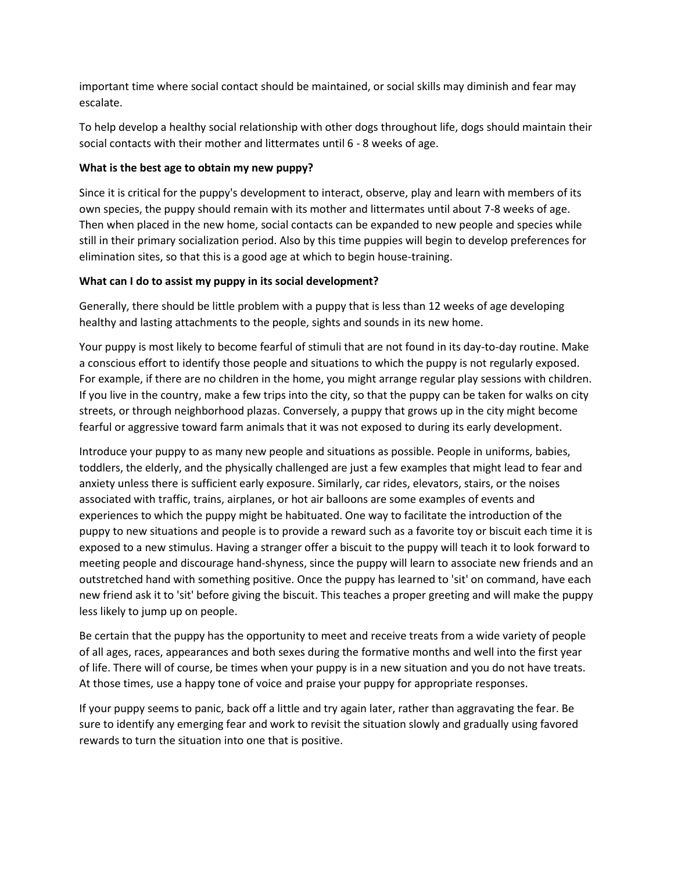important time where social contact should be maintained, or social skills may diminish and fear may escalate.

To help develop a healthy social relationship with other dogs throughout life, dogs should maintain their social contacts with their mother and littermates until 6 - 8 weeks of age.

# **What is the best age to obtain my new puppy?**

Since it is critical for the puppy's development to interact, observe, play and learn with members of its own species, the puppy should remain with its mother and littermates until about 7-8 weeks of age. Then when placed in the new home, social contacts can be expanded to new people and species while still in their primary socialization period. Also by this time puppies will begin to develop preferences for elimination sites, so that this is a good age at which to begin house-training.

# **What can I do to assist my puppy in its social development?**

Generally, there should be little problem with a puppy that is less than 12 weeks of age developing healthy and lasting attachments to the people, sights and sounds in its new home.

Your puppy is most likely to become fearful of stimuli that are not found in its day-to-day routine. Make a conscious effort to identify those people and situations to which the puppy is not regularly exposed. For example, if there are no children in the home, you might arrange regular play sessions with children. If you live in the country, make a few trips into the city, so that the puppy can be taken for walks on city streets, or through neighborhood plazas. Conversely, a puppy that grows up in the city might become fearful or aggressive toward farm animals that it was not exposed to during its early development.

Introduce your puppy to as many new people and situations as possible. People in uniforms, babies, toddlers, the elderly, and the physically challenged are just a few examples that might lead to fear and anxiety unless there is sufficient early exposure. Similarly, car rides, elevators, stairs, or the noises associated with traffic, trains, airplanes, or hot air balloons are some examples of events and experiences to which the puppy might be habituated. One way to facilitate the introduction of the puppy to new situations and people is to provide a reward such as a favorite toy or biscuit each time it is exposed to a new stimulus. Having a stranger offer a biscuit to the puppy will teach it to look forward to meeting people and discourage hand-shyness, since the puppy will learn to associate new friends and an outstretched hand with something positive. Once the puppy has learned to 'sit' on command, have each new friend ask it to 'sit' before giving the biscuit. This teaches a proper greeting and will make the puppy less likely to jump up on people.

Be certain that the puppy has the opportunity to meet and receive treats from a wide variety of people of all ages, races, appearances and both sexes during the formative months and well into the first year of life. There will of course, be times when your puppy is in a new situation and you do not have treats. At those times, use a happy tone of voice and praise your puppy for appropriate responses.

If your puppy seems to panic, back off a little and try again later, rather than aggravating the fear. Be sure to identify any emerging fear and work to revisit the situation slowly and gradually using favored rewards to turn the situation into one that is positive.